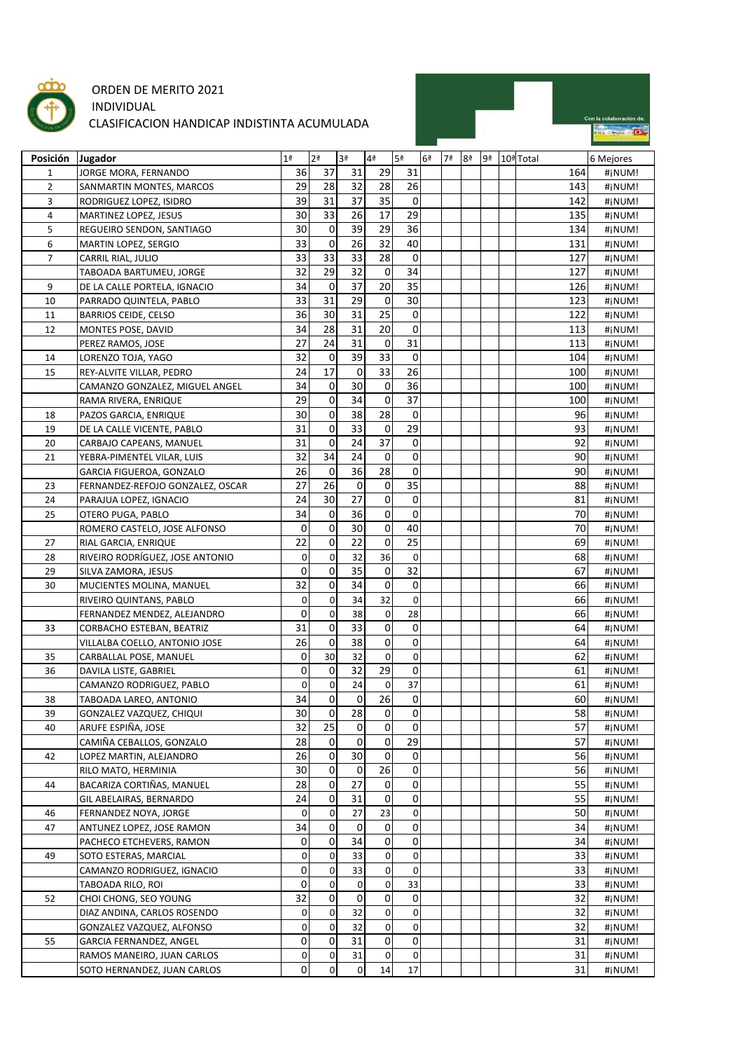

## ORDEN DE MERITO 2021 INDIVIDUAL CLASIFICACION HANDICAP INDISTINTA ACUMULADA

|  | Con la colaboración de: |
|--|-------------------------|
|  |                         |

| Posición       | Jugador                          | 1 <sup>a</sup> | 2 <sup>a</sup> | 3ª              | 4 <sup>a</sup> | 5ª          | 6 <sup>a</sup> | 7ª | 8 <sup>a</sup> | 9ª | 10ª Total | 6 Mejores |
|----------------|----------------------------------|----------------|----------------|-----------------|----------------|-------------|----------------|----|----------------|----|-----------|-----------|
| 1              | JORGE MORA, FERNANDO             | 36             | 37             | 31              | 29             | 31          |                |    |                |    | 164       | #jNUM!    |
| $\overline{2}$ | SANMARTIN MONTES, MARCOS         | 29             | 28             | 32              | 28             | 26          |                |    |                |    | 143       | #jNUM!    |
| 3              |                                  | 39             | 31             | 37              | 35             | $\mathbf 0$ |                |    |                |    | 142       |           |
|                | RODRIGUEZ LOPEZ, ISIDRO          | 30             | 33             | 26              | 17             | 29          |                |    |                |    |           | #jNUM!    |
| 4              | MARTINEZ LOPEZ, JESUS            | 30             | $\mathbf 0$    | 39              | 29             | 36          |                |    |                |    | 135       | #¡NUM!    |
| 5              | REGUEIRO SENDON, SANTIAGO        |                |                |                 |                |             |                |    |                |    | 134       | #jNUM!    |
| 6              | MARTIN LOPEZ, SERGIO             | 33<br>33       | 0<br>33        | 26<br>33        | 32<br>28       | 40          |                |    |                |    | 131       | #jNUM!    |
| $\overline{7}$ | CARRIL RIAL, JULIO               |                |                |                 |                | 0           |                |    |                |    | 127       | #¡NUM!    |
|                | TABOADA BARTUMEU, JORGE          | 32             | 29             | 32              | $\pmb{0}$      | 34          |                |    |                |    | 127       | #¡NUM!    |
| 9              | DE LA CALLE PORTELA, IGNACIO     | 34             | 0              | $\overline{37}$ | 20             | 35          |                |    |                |    | 126       | #¡NUM!    |
| 10             | PARRADO QUINTELA, PABLO          | 33             | 31             | 29              | 0              | 30          |                |    |                |    | 123       | #¡NUM!    |
| 11             | <b>BARRIOS CEIDE, CELSO</b>      | 36             | 30             | 31              | 25             | 0           |                |    |                |    | 122       | #jNUM!    |
| 12             | MONTES POSE, DAVID               | 34             | 28             | 31              | 20             | 0           |                |    |                |    | 113       | #jNUM!    |
|                | PEREZ RAMOS, JOSE                | 27             | 24             | 31              | 0              | 31          |                |    |                |    | 113       | #jNUM!    |
| 14             | LORENZO TOJA, YAGO               | 32             | 0              | 39              | 33             | 0           |                |    |                |    | 104       | #¡NUM!    |
| 15             | REY-ALVITE VILLAR, PEDRO         | 24             | 17             | 0               | 33             | 26          |                |    |                |    | 100       | #jNUM!    |
|                | CAMANZO GONZALEZ, MIGUEL ANGEL   | 34             | 0              | 30              | 0              | 36          |                |    |                |    | 100       | #jNUM!    |
|                | RAMA RIVERA, ENRIQUE             | 29             | 0              | 34              | 0              | 37          |                |    |                |    | 100       | #jNUM!    |
| 18             | PAZOS GARCIA, ENRIQUE            | 30             | $\pmb{0}$      | 38              | 28             | 0           |                |    |                |    | 96        | #¡NUM!    |
| 19             | DE LA CALLE VICENTE, PABLO       | 31             | 0              | 33              | 0              | 29          |                |    |                |    | 93        | #¡NUM!    |
| 20             | CARBAJO CAPEANS, MANUEL          | 31             | 0              | 24              | 37             | $\mathbf 0$ |                |    |                |    | 92        | #¡NUM!    |
| 21             | YEBRA-PIMENTEL VILAR, LUIS       | 32             | 34             | 24              | 0              | 0           |                |    |                |    | 90        | #¡NUM!    |
|                | GARCIA FIGUEROA, GONZALO         | 26             | 0              | 36              | 28             | 0           |                |    |                |    | 90        | #jNUM!    |
| 23             | FERNANDEZ-REFOJO GONZALEZ, OSCAR | 27             | 26             | 0               | $\mathbf 0$    | 35          |                |    |                |    | 88        | #jNUM!    |
| 24             | PARAJUA LOPEZ, IGNACIO           | 24             | 30             | 27              | 0              | 0           |                |    |                |    | 81        | #¡NUM!    |
| 25             | OTERO PUGA, PABLO                | 34             | 0              | 36              | 0              | $\mathbf 0$ |                |    |                |    | 70        | #¡NUM!    |
|                | ROMERO CASTELO, JOSE ALFONSO     | 0              | 0              | 30              | 0              | 40          |                |    |                |    | 70        | #jNUM!    |
| 27             | RIAL GARCIA, ENRIQUE             | 22             | 0              | 22              | 0              | 25          |                |    |                |    | 69        | #jNUM!    |
| 28             | RIVEIRO RODRÍGUEZ, JOSE ANTONIO  | 0              | 0              | 32              | 36             | $\mathbf 0$ |                |    |                |    | 68        | #¡NUM!    |
| 29             | SILVA ZAMORA, JESUS              | 0              | 0              | $\overline{35}$ | 0              | 32          |                |    |                |    | 67        | #¡NUM!    |
| 30             | MUCIENTES MOLINA, MANUEL         | 32             | $\pmb{0}$      | 34              | 0              | $\mathbf 0$ |                |    |                |    | 66        | #¡NUM!    |
|                | RIVEIRO QUINTANS, PABLO          | 0              | $\mathbf 0$    | 34              | 32             | $\mathbf 0$ |                |    |                |    | 66        | #jNUM!    |
|                | FERNANDEZ MENDEZ, ALEJANDRO      | 0              | 0              | 38              | $\mathbf 0$    | 28          |                |    |                |    | 66        | #jNUM!    |
| 33             | CORBACHO ESTEBAN, BEATRIZ        | 31             | 0              | 33              | $\mathbf 0$    | 0           |                |    |                |    | 64        | #jNUM!    |
|                | VILLALBA COELLO, ANTONIO JOSE    | 26             | $\pmb{0}$      | 38              | 0              | 0           |                |    |                |    | 64        | #jNUM!    |
| 35             | CARBALLAL POSE, MANUEL           | 0              | 30             | 32              | $\mathbf 0$    | $\mathbf 0$ |                |    |                |    | 62        | #¡NUM!    |
| 36             | DAVILA LISTE, GABRIEL            | 0              | 0              | 32              | 29             | 0           |                |    |                |    | 61        | #jNUM!    |
|                | CAMANZO RODRIGUEZ, PABLO         | 0              | 0              | 24              | $\mathbf 0$    | 37          |                |    |                |    | 61        | #jNUM!    |
| 38             | TABOADA LAREO, ANTONIO           | 34             | $\overline{0}$ | 0               | 26             | $\pmb{0}$   |                |    |                |    | 60        | #jNUM!    |
| 39             | GONZALEZ VAZQUEZ, CHIQUI         | 30             | 0              | 28              | $\overline{0}$ | 0           |                |    |                |    | 58        | #¡NUM!    |
| 40             | ARUFE ESPIÑA, JOSE               | 32             | 25             | 0               | $\mathbf 0$    | $\Omega$    |                |    |                |    | 57        | #jNUM!    |
|                | CAMIÑA CEBALLOS, GONZALO         | 28             | 0              | 0               | $\mathbf 0$    | 29          |                |    |                |    | 57        | #jNUM!    |
| 42             | LOPEZ MARTIN, ALEJANDRO          | 26             | 0              | 30              | $\mathbf 0$    | 0           |                |    |                |    | 56        | #jNUM!    |
|                | RILO MATO, HERMINIA              | 30             | 0              | 0               | 26             | $\pmb{0}$   |                |    |                |    | 56        | #jNUM!    |
| 44             | BACARIZA CORTIÑAS, MANUEL        | 28             | 0              | 27              | $\mathbf 0$    | 0           |                |    |                |    | 55        |           |
|                |                                  | 24             | 0              | 31              | $\mathbf 0$    | 0           |                |    |                |    | 55        | #jNUM!    |
|                | GIL ABELAIRAS, BERNARDO          |                |                |                 |                |             |                |    |                |    |           | #¡NUM!    |
| 46             | FERNANDEZ NOYA, JORGE            | 0              | $\pmb{0}$      | 27              | 23             | $\pmb{0}$   |                |    |                |    | 50        | #jNUM!    |
| 47             | ANTUNEZ LOPEZ, JOSE RAMON        | 34             | 0              | 0               | $\pmb{0}$      | 0           |                |    |                |    | 34        | #jNUM!    |
|                | PACHECO ETCHEVERS, RAMON         | 0              | 0              | 34              | $\pmb{0}$      | $\pmb{0}$   |                |    |                |    | 34        | #¡NUM!    |
| 49             | SOTO ESTERAS, MARCIAL            | 0              | 0              | 33              | $\overline{0}$ | 0           |                |    |                |    | 33        | #jNUM!    |
|                | CAMANZO RODRIGUEZ, IGNACIO       | 0              | 0              | 33              | $\pmb{0}$      | $\mathbf 0$ |                |    |                |    | 33        | #¡NUM!    |
|                | TABOADA RILO, ROI                | 0              | $\pmb{0}$      | 0               | $\mathbf 0$    | 33          |                |    |                |    | 33        | #jNUM!    |
| 52             | CHOI CHONG, SEO YOUNG            | 32             | 0              | 0               | $\pmb{0}$      | 0           |                |    |                |    | 32        | #jNUM!    |
|                | DIAZ ANDINA, CARLOS ROSENDO      | 0              | $\pmb{0}$      | 32              | $\mathbf 0$    | $\pmb{0}$   |                |    |                |    | 32        | #jNUM!    |
|                | GONZALEZ VAZQUEZ, ALFONSO        | 0              | 0              | 32              | $\mathbf 0$    | $\pmb{0}$   |                |    |                |    | 32        | #¡NUM!    |
| 55             | GARCIA FERNANDEZ, ANGEL          | 0              | 0              | 31              | $\mathbf 0$    | 0           |                |    |                |    | 31        | #¡NUM!    |
|                | RAMOS MANEIRO, JUAN CARLOS       | 0              | 0              | 31              | $\mathbf 0$    | 0           |                |    |                |    | 31        | #jNUM!    |
|                | SOTO HERNANDEZ, JUAN CARLOS      | 0              | $\overline{0}$ | $\pmb{0}$       | 14             | 17          |                |    |                |    | 31        | #jNUM!    |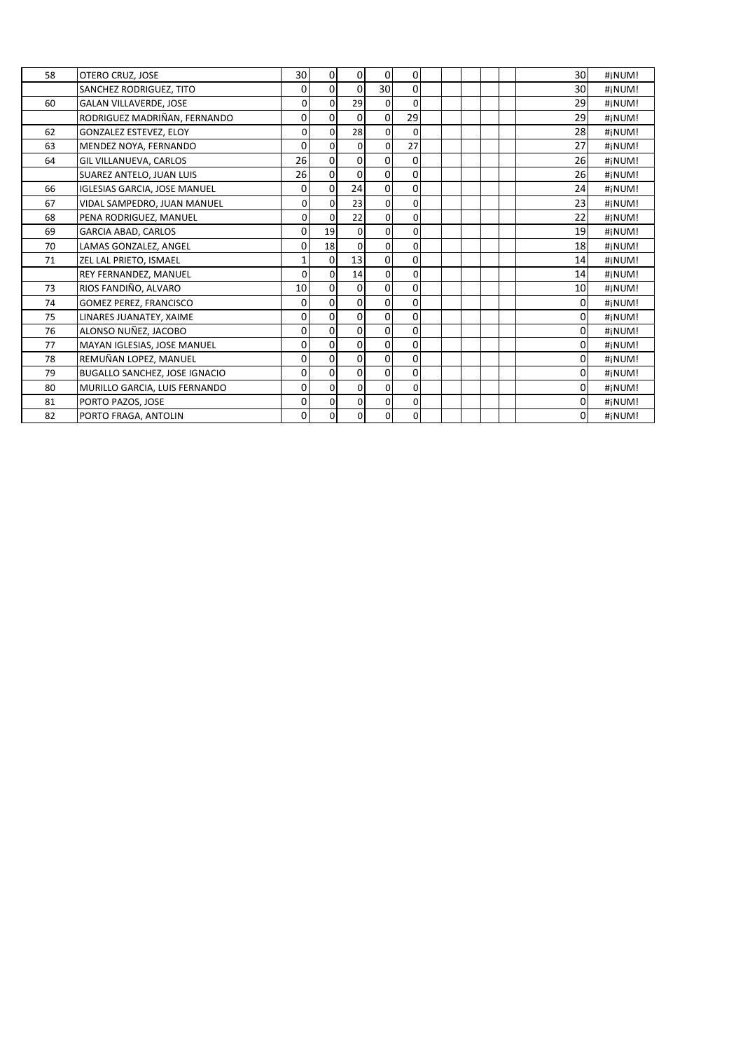| 58 | OTERO CRUZ, JOSE                     | 30          | 0              | $\mathbf 0$ | $\mathbf 0$    | 0           |  |  | 30          | #¡NUM! |
|----|--------------------------------------|-------------|----------------|-------------|----------------|-------------|--|--|-------------|--------|
|    | SANCHEZ RODRIGUEZ, TITO              | 0           | 0              | 0           | 30             | 0           |  |  | 30          | #¡NUM! |
| 60 | <b>GALAN VILLAVERDE, JOSE</b>        | 0           | $\Omega$       | 29          | $\Omega$       | $\Omega$    |  |  | 29          | #¡NUM! |
|    | RODRIGUEZ MADRIÑAN, FERNANDO         | 0           | 0              | 0           | $\Omega$       | 29          |  |  | 29          | #iNUM! |
| 62 | <b>GONZALEZ ESTEVEZ, ELOY</b>        | 0           | 0              | 28          | $\mathbf{0}$   | 0           |  |  | 28          | #¡NUM! |
| 63 | MENDEZ NOYA, FERNANDO                | 0           | $\mathbf 0$    | 0           | $\Omega$       | 27          |  |  | 27          | #¡NUM! |
| 64 | <b>GIL VILLANUEVA, CARLOS</b>        | 26          | 0              | 0           | $\Omega$       | 0           |  |  | 26          | #¡NUM! |
|    | <b>SUAREZ ANTELO, JUAN LUIS</b>      | 26          | 0              | 0           | $\overline{0}$ | 0           |  |  | 26          | #¡NUM! |
| 66 | <b>IGLESIAS GARCIA, JOSE MANUEL</b>  | 0           | 0              | 24          | $\Omega$       | 0           |  |  | 24          | #¡NUM! |
| 67 | VIDAL SAMPEDRO, JUAN MANUEL          | 0           | 0              | 23          | $\Omega$       | 0           |  |  | 23          | #¡NUM! |
| 68 | PENA RODRIGUEZ, MANUEL               | $\mathbf 0$ | $\Omega$       | 22          | $\Omega$       | 0           |  |  | 22          | #¡NUM! |
| 69 | <b>GARCIA ABAD, CARLOS</b>           | 0           | 19             | 0           | $\Omega$       | 0           |  |  | 19          | #¡NUM! |
| 70 | LAMAS GONZALEZ, ANGEL                | 0           | 18             | 0           | $\Omega$       | 0           |  |  | 18          | #¡NUM! |
| 71 | ZEL LAL PRIETO, ISMAEL               | 1           | 0              | 13          | $\Omega$       | 0           |  |  | 14          | #¡NUM! |
|    | REY FERNANDEZ, MANUEL                | $\Omega$    | 0              | 14          | $\Omega$       | 0           |  |  | 14          | #¡NUM! |
| 73 | RIOS FANDIÑO, ALVARO                 | 10          | 0              | 0           | $\Omega$       | 0           |  |  | 10          | #¡NUM! |
| 74 | <b>GOMEZ PEREZ, FRANCISCO</b>        | 0           | 0              | 0           | $\overline{0}$ | 0           |  |  | 0           | #¡NUM! |
| 75 | LINARES JUANATEY, XAIME              | 0           | 0              | 0           | $\Omega$       | 0           |  |  | 0           | #¡NUM! |
| 76 | ALONSO NUÑEZ, JACOBO                 | 0           | 0              | 0           | $\Omega$       | 0           |  |  | 0           | #¡NUM! |
| 77 | MAYAN IGLESIAS, JOSE MANUEL          | 0           | 0              | 0           | $\Omega$       | 0           |  |  | 0           | #iNUM! |
| 78 | REMUÑAN LOPEZ, MANUEL                | 0           | 0              | 0           | $\Omega$       | 0           |  |  | 0           | #¡NUM! |
| 79 | <b>BUGALLO SANCHEZ, JOSE IGNACIO</b> | 0           | 0              | 0           | $\Omega$       | 0           |  |  | 0           | #iNUM! |
| 80 | MURILLO GARCIA, LUIS FERNANDO        | 0           | $\Omega$       | 0           | $\Omega$       | 0           |  |  | 0           | #¡NUM! |
| 81 | PORTO PAZOS, JOSE                    | 0           | $\Omega$       | 0           | $\Omega$       | 0           |  |  | 0           | #¡NUM! |
| 82 | PORTO FRAGA, ANTOLIN                 | 0           | $\overline{0}$ | 0           | $\mathbf{0}$   | $\mathbf 0$ |  |  | $\mathbf 0$ | #iNUM! |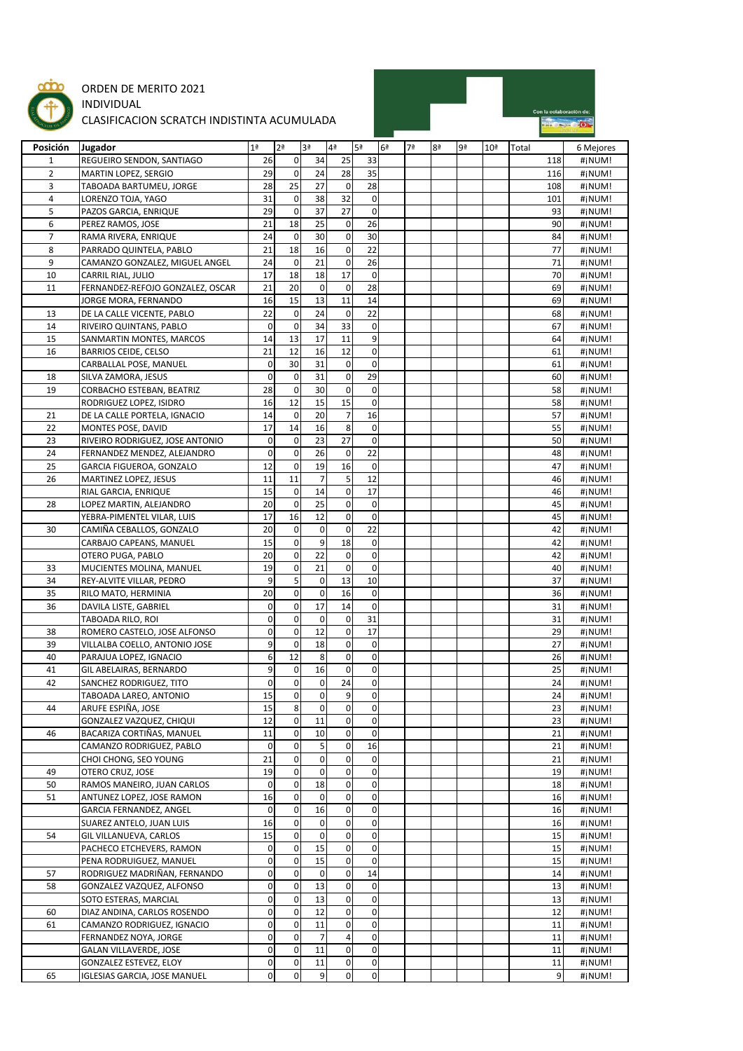

## ORDEN DE MERITO 2021 INDIVIDUAL

## CLASIFICACION SCRATCH INDISTINTA ACUMULADA



| Posición       | Jugador                          | 1 <sup>a</sup> | 2 <sup>a</sup> | 3ª                  | 4ª             | <b>5ª</b>    | 6 <sup>a</sup> | 7ª | 8ª | 9ª | 10 <sup>a</sup> | Total | 6 Mejores |
|----------------|----------------------------------|----------------|----------------|---------------------|----------------|--------------|----------------|----|----|----|-----------------|-------|-----------|
| 1              | REGUEIRO SENDON, SANTIAGO        | 26             | 0              | 34                  | 25             | 33           |                |    |    |    |                 | 118   | #jNUM!    |
| $\overline{2}$ | MARTIN LOPEZ, SERGIO             | 29             | 0              | 24                  | 28             | 35           |                |    |    |    |                 | 116   | #jNUM!    |
| 3              | TABOADA BARTUMEU, JORGE          | 28             | 25             | 27                  | $\mathbf 0$    | 28           |                |    |    |    |                 | 108   | #jNUM!    |
| 4              | LORENZO TOJA, YAGO               | 31             | 0              | 38                  | 32             | $\mathbf 0$  |                |    |    |    |                 | 101   | #¡NUM!    |
| 5              | PAZOS GARCIA, ENRIQUE            | 29             | $\pmb{0}$      | 37                  | 27             | $\mathbf 0$  |                |    |    |    |                 | 93    | #¡NUM!    |
| 6              | PEREZ RAMOS, JOSE                | 21             | 18             | 25                  | $\mathbf 0$    | 26           |                |    |    |    |                 | 90    | #¡NUM!    |
|                |                                  |                |                |                     | $\mathbf 0$    |              |                |    |    |    |                 |       |           |
| 7              | RAMA RIVERA, ENRIQUE             | 24             | 0              | 30                  |                | 30           |                |    |    |    |                 | 84    | #jNUM!    |
| 8              | PARRADO QUINTELA, PABLO          | 21             | 18             | 16                  | $\mathbf 0$    | 22           |                |    |    |    |                 | 77    | #jNUM!    |
| 9              | CAMANZO GONZALEZ, MIGUEL ANGEL   | 24             | 0              | 21                  | $\mathbf 0$    | 26           |                |    |    |    |                 | 71    | #jNUM!    |
| 10             | CARRIL RIAL, JULIO               | 17             | 18             | 18                  | 17             | $\mathbf 0$  |                |    |    |    |                 | 70    | #¡NUM!    |
| 11             | FERNANDEZ-REFOJO GONZALEZ, OSCAR | 21             | 20             | 0                   | $\mathbf 0$    | 28           |                |    |    |    |                 | 69    | #jNUM!    |
|                | JORGE MORA, FERNANDO             | 16             | 15             | 13                  | 11             | 14           |                |    |    |    |                 | 69    | #¡NUM!    |
| 13             | DE LA CALLE VICENTE, PABLO       | 22             | $\pmb{0}$      | 24                  | $\mathbf 0$    | 22           |                |    |    |    |                 | 68    | #jNUM!    |
| 14             | RIVEIRO QUINTANS, PABLO          | $\mathbf 0$    | 0              | 34                  | 33             | $\mathbf 0$  |                |    |    |    |                 | 67    | #jNUM!    |
| 15             | SANMARTIN MONTES, MARCOS         | 14             | 13             | 17                  | 11             | 9            |                |    |    |    |                 | 64    | #jNUM!    |
| 16             | <b>BARRIOS CEIDE, CELSO</b>      | 21             | 12             | 16                  | 12             | $\mathbf 0$  |                |    |    |    |                 | 61    | #¡NUM!    |
|                | CARBALLAL POSE, MANUEL           | 0              | 30             | 31                  | $\mathbf 0$    | $\mathbf 0$  |                |    |    |    |                 | 61    | #jNUM!    |
| 18             | SILVA ZAMORA, JESUS              | $\pmb{0}$      | 0              | 31                  | $\pmb{0}$      | 29           |                |    |    |    |                 | 60    | #jNUM!    |
| 19             | CORBACHO ESTEBAN, BEATRIZ        | 28             | 0              | 30                  | $\pmb{0}$      | $\mathbf 0$  |                |    |    |    |                 | 58    | #jNUM!    |
|                | RODRIGUEZ LOPEZ, ISIDRO          | 16             | 12             | 15                  | 15             | $\mathbf 0$  |                |    |    |    |                 | 58    |           |
|                |                                  |                |                |                     |                |              |                |    |    |    |                 |       | #jNUM!    |
| 21             | DE LA CALLE PORTELA, IGNACIO     | 14             | $\mathbf 0$    | 20                  | $\overline{7}$ | 16           |                |    |    |    |                 | 57    | #jNUM!    |
| 22             | MONTES POSE, DAVID               | 17             | 14             | 16                  | 8              | $\mathbf 0$  |                |    |    |    |                 | 55    | #¡NUM!    |
| 23             | RIVEIRO RODRIGUEZ, JOSE ANTONIO  | $\pmb{0}$      | $\pmb{0}$      | 23                  | 27             | $\mathbf 0$  |                |    |    |    |                 | 50    | #jNUM!    |
| 24             | FERNANDEZ MENDEZ, ALEJANDRO      | $\mathbf 0$    | 0              | 26                  | $\mathbf 0$    | 22           |                |    |    |    |                 | 48    | #jNUM!    |
| 25             | GARCIA FIGUEROA, GONZALO         | 12             | 0              | 19                  | 16             | $\mathbf 0$  |                |    |    |    |                 | 47    | #¡NUM!    |
| 26             | MARTINEZ LOPEZ, JESUS            | 11             | 11             | $\overline{7}$      | 5              | 12           |                |    |    |    |                 | 46    | #¡NUM!    |
|                | RIAL GARCIA, ENRIQUE             | 15             | 0              | 14                  | $\mathbf 0$    | 17           |                |    |    |    |                 | 46    | #jNUM!    |
| 28             | LOPEZ MARTIN, ALEJANDRO          | 20             | $\pmb{0}$      | 25                  | $\mathbf 0$    | $\mathbf 0$  |                |    |    |    |                 | 45    | #jNUM!    |
|                | YEBRA-PIMENTEL VILAR, LUIS       | 17             | 16             | 12                  | $\mathbf 0$    | $\mathbf 0$  |                |    |    |    |                 | 45    | #jNUM!    |
| 30             | CAMIÑA CEBALLOS, GONZALO         | 20             | 0              | $\mathbf 0$         | $\mathbf 0$    | 22           |                |    |    |    |                 | 42    | #¡NUM!    |
|                | CARBAJO CAPEANS, MANUEL          | 15             | 0              | 9                   | 18             | 0            |                |    |    |    |                 | 42    | #jNUM!    |
|                |                                  | 20             | 0              | 22                  | $\mathbf 0$    | $\mathbf 0$  |                |    |    |    |                 | 42    |           |
|                | OTERO PUGA, PABLO                |                |                |                     | $\pmb{0}$      |              |                |    |    |    |                 |       | #¡NUM!    |
| 33             | MUCIENTES MOLINA, MANUEL         | 19             | 0              | 21                  |                | $\mathbf 0$  |                |    |    |    |                 | 40    | #jNUM!    |
| 34             | REY-ALVITE VILLAR, PEDRO         | 9              | 5              | 0                   | 13             | 10           |                |    |    |    |                 | 37    | #jNUM!    |
| 35             | RILO MATO, HERMINIA              | 20             | 0              | 0                   | 16             | $\mathbf 0$  |                |    |    |    |                 | 36    | #¡NUM!    |
| 36             | DAVILA LISTE, GABRIEL            | 0              | 0              | 17                  | 14             | $\mathbf 0$  |                |    |    |    |                 | 31    | #¡NUM!    |
|                | TABOADA RILO, ROI                | 0              | 0              | 0                   | $\mathbf 0$    | 31           |                |    |    |    |                 | 31    | #jNUM!    |
| 38             | ROMERO CASTELO, JOSE ALFONSO     | $\pmb{0}$      | 0              | 12                  | $\pmb{0}$      | 17           |                |    |    |    |                 | 29    | #¡NUM!    |
| 39             | VILLALBA COELLO, ANTONIO JOSE    | 9              | $\mathbf 0$    | 18                  | $\pmb{0}$      | $\mathbf 0$  |                |    |    |    |                 | 27    | #¡NUM!    |
| 40             | PARAJUA LOPEZ, IGNACIO           | 6              | 12             | 8                   | $\mathbf 0$    | $\mathbf 0$  |                |    |    |    |                 | 26    | #jNUM!    |
| 41             | GIL ABELAIRAS, BERNARDO          | 9              | 0              | 16                  | $\mathbf 0$    | $\mathbf 0$  |                |    |    |    |                 | 25    | #¡NUM!    |
| 42             | SANCHEZ RODRIGUEZ, TITO          | $\mathbf 0$    | 0              | 0                   | 24             | $\mathbf 0$  |                |    |    |    |                 | 24    | #¡NUM!    |
|                | TABOADA LAREO, ANTONIO           | 15             | 0              | $\mathbf 0$         | 9              | $\mathbf 0$  |                |    |    |    |                 | 24    | #¡NUM!    |
| 44             | ARUFE ESPIÑA, JOSE               | 15             | 8              | 0                   | 0              | $\mathbf{0}$ |                |    |    |    |                 | 23    | #¡NUM!    |
|                | GONZALEZ VAZQUEZ, CHIQUI         | 12             | $\mathbf 0$    | 11                  | $\overline{0}$ | $\mathbf 0$  |                |    |    |    |                 | 23    | #¡NUM!    |
| 46             | BACARIZA CORTIÑAS, MANUEL        | 11             | 0              | 10                  | $\mathbf 0$    | $\mathbf 0$  |                |    |    |    |                 | 21    |           |
|                |                                  |                |                |                     |                |              |                |    |    |    |                 |       | #jNUM!    |
|                | CAMANZO RODRIGUEZ, PABLO         | 0              | 0              | 5                   | $\mathbf 0$    | 16           |                |    |    |    |                 | 21    | #jNUM!    |
|                | CHOI CHONG, SEO YOUNG            | 21             | $\pmb{0}$      | $\mathsf{O}\xspace$ | $\mathbf 0$    | $\mathbf 0$  |                |    |    |    |                 | 21    | #jNUM!    |
| 49             | OTERO CRUZ, JOSE                 | 19             | 0              | $\mathbf 0$         | $\mathbf 0$    | $\mathbf 0$  |                |    |    |    |                 | 19    | #jNUM!    |
| 50             | RAMOS MANEIRO, JUAN CARLOS       | $\pmb{0}$      | $\mathbf 0$    | 18                  | $\mathbf 0$    | $\pmb{0}$    |                |    |    |    |                 | 18    | #jNUM!    |
| 51             | ANTUNEZ LOPEZ, JOSE RAMON        | 16             | 0              | 0                   | $\mathbf 0$    | 0            |                |    |    |    |                 | 16    | #jNUM!    |
|                | GARCIA FERNANDEZ, ANGEL          | 0              | 0              | 16                  | $\mathbf 0$    | $\pmb{0}$    |                |    |    |    |                 | 16    | #jNUM!    |
|                | SUAREZ ANTELO, JUAN LUIS         | 16             | 0              | 0                   | $\mathbf 0$    | $\pmb{0}$    |                |    |    |    |                 | 16    | #jNUM!    |
| 54             | GIL VILLANUEVA, CARLOS           | 15             | 0              | 0                   | $\mathbf 0$    | $\pmb{0}$    |                |    |    |    |                 | 15    | #jNUM!    |
|                | PACHECO ETCHEVERS, RAMON         | $\pmb{0}$      | 0              | 15                  | $\mathbf 0$    | $\mathbf 0$  |                |    |    |    |                 | 15    | #jNUM!    |
|                | PENA RODRUIGUEZ, MANUEL          | 0              | 0              | 15                  | $\mathbf 0$    | $\mathbf 0$  |                |    |    |    |                 | 15    | #jNUM!    |
| 57             | RODRIGUEZ MADRIÑAN, FERNANDO     | 0              | 0              | 0                   | $\mathbf 0$    | 14           |                |    |    |    |                 | 14    | #jNUM!    |
| 58             | GONZALEZ VAZQUEZ, ALFONSO        | 0              | 0              | 13                  | $\mathbf 0$    | $\mathbf 0$  |                |    |    |    |                 | 13    | #jNUM!    |
|                |                                  | 0              | 0              | 13                  | $\mathbf{0}$   | $\mathbf 0$  |                |    |    |    |                 | 13    |           |
|                | SOTO ESTERAS, MARCIAL            |                |                |                     |                |              |                |    |    |    |                 |       | #jNUM!    |
| 60             | DIAZ ANDINA, CARLOS ROSENDO      | 0              | 0              | 12                  | $\mathbf{0}$   | $\pmb{0}$    |                |    |    |    |                 | 12    | #jNUM!    |
| 61             | CAMANZO RODRIGUEZ, IGNACIO       | 0              | 0              | 11                  | $\mathbf 0$    | 0            |                |    |    |    |                 | 11    | #jNUM!    |
|                | FERNANDEZ NOYA, JORGE            | 0              | 0              | $\overline{7}$      | $\overline{4}$ | $\mathbf 0$  |                |    |    |    |                 | 11    | #jNUM!    |
|                | <b>GALAN VILLAVERDE, JOSE</b>    | 0              | 0              | 11                  | $\mathbf 0$    | 0            |                |    |    |    |                 | 11    | #jNUM!    |
|                | GONZALEZ ESTEVEZ, ELOY           | $\mathbf 0$    | $\mathbf 0$    | 11                  | $\mathbf 0$    | $\mathbf 0$  |                |    |    |    |                 | 11    | #jNUM!    |
| 65             | IGLESIAS GARCIA, JOSE MANUEL     | 0              | $\pmb{0}$      | 9                   | $\mathbf 0$    | $\mathbf 0$  |                |    |    |    |                 | 9     | #¡NUM!    |